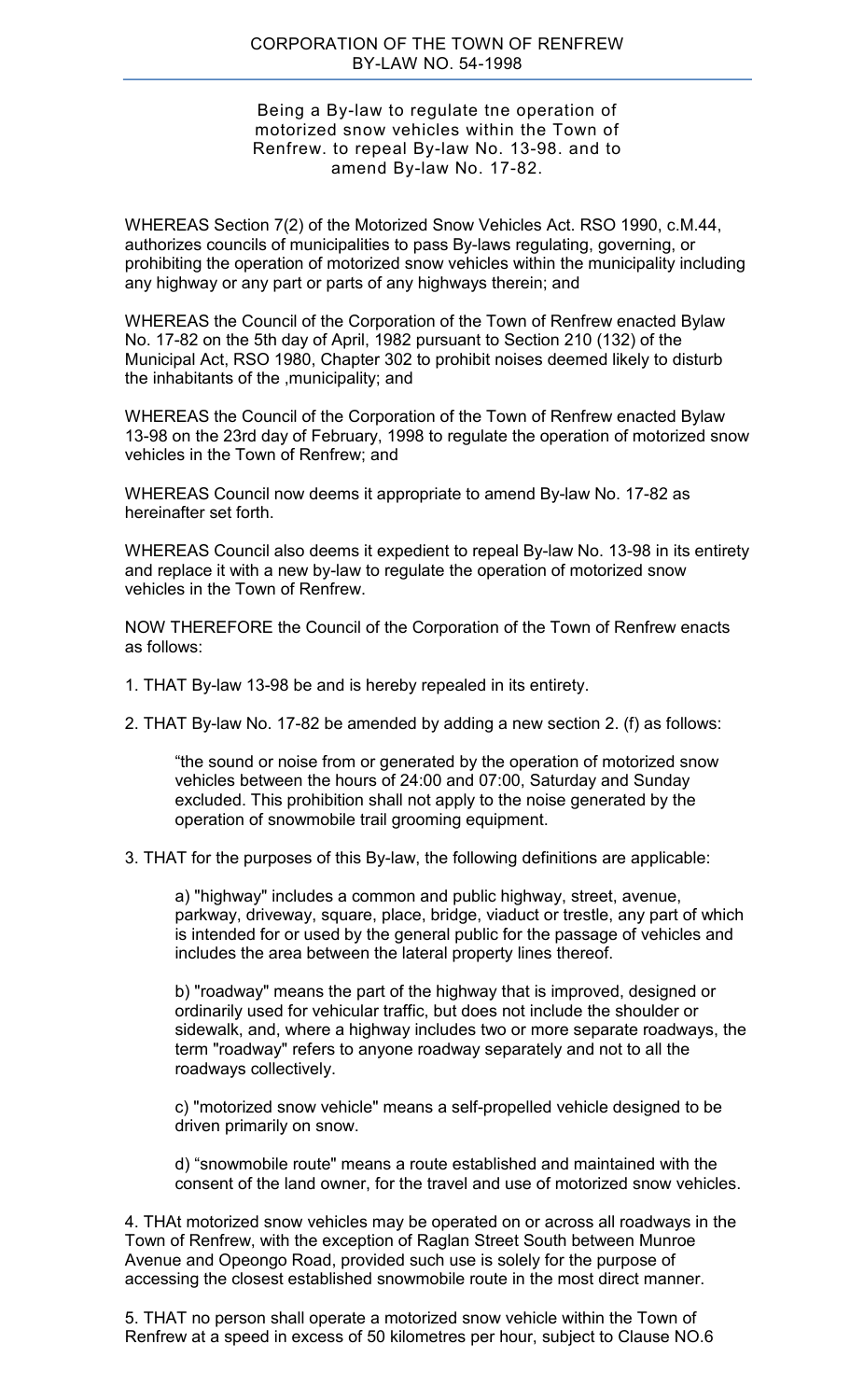## Being a By-law to regulate tne operation of motorized snow vehicles within the Town of Renfrew. to repeal By-law No. 13-98. and to amend By-law No. 17-82.

WHEREAS Section 7(2) of the Motorized Snow Vehicles Act. RSO 1990, c.M.44, authorizes councils of municipalities to pass By-laws regulating, governing, or prohibiting the operation of motorized snow vehicles within the municipality including any highway or any part or parts of any highways therein; and

WHEREAS the Council of the Corporation of the Town of Renfrew enacted Bylaw No. 17-82 on the 5th day of April, 1982 pursuant to Section 210 (132) of the Municipal Act, RSO 1980, Chapter 302 to prohibit noises deemed likely to disturb the inhabitants of the ,municipality; and

WHEREAS the Council of the Corporation of the Town of Renfrew enacted Bylaw 13-98 on the 23rd day of February, 1998 to regulate the operation of motorized snow vehicles in the Town of Renfrew; and

WHEREAS Council now deems it appropriate to amend By-law No. 17-82 as hereinafter set forth.

WHEREAS Council also deems it expedient to repeal By-law No. 13-98 in its entirety and replace it with a new by-law to regulate the operation of motorized snow vehicles in the Town of Renfrew.

NOW THEREFORE the Council of the Corporation of the Town of Renfrew enacts as follows:

- 1. THAT By-law 13-98 be and is hereby repealed in its entirety.
- 2. THAT By-law No. 17-82 be amended by adding a new section 2. (f) as follows:

"the sound or noise from or generated by the operation of motorized snow vehicles between the hours of 24:00 and 07:00, Saturday and Sunday excluded. This prohibition shall not apply to the noise generated by the operation of snowmobile trail grooming equipment.

3. THAT for the purposes of this By-law, the following definitions are applicable:

a) "highway" includes a common and public highway, street, avenue, parkway, driveway, square, place, bridge, viaduct or trestle, any part of which is intended for or used by the general public for the passage of vehicles and includes the area between the lateral property lines thereof.

b) "roadway" means the part of the highway that is improved, designed or ordinarily used for vehicular traffic, but does not include the shoulder or sidewalk, and, where a highway includes two or more separate roadways, the term "roadway" refers to anyone roadway separately and not to all the roadways collectively.

c) "motorized snow vehicle" means a self-propelled vehicle designed to be driven primarily on snow.

d) "snowmobile route" means a route established and maintained with the consent of the land owner, for the travel and use of motorized snow vehicles.

4. THAt motorized snow vehicles may be operated on or across all roadways in the Town of Renfrew, with the exception of Raglan Street South between Munroe Avenue and Opeongo Road, provided such use is solely for the purpose of accessing the closest established snowmobile route in the most direct manner.

5. THAT no person shall operate a motorized snow vehicle within the Town of Renfrew at a speed in excess of 50 kilometres per hour, subject to Clause NO.6